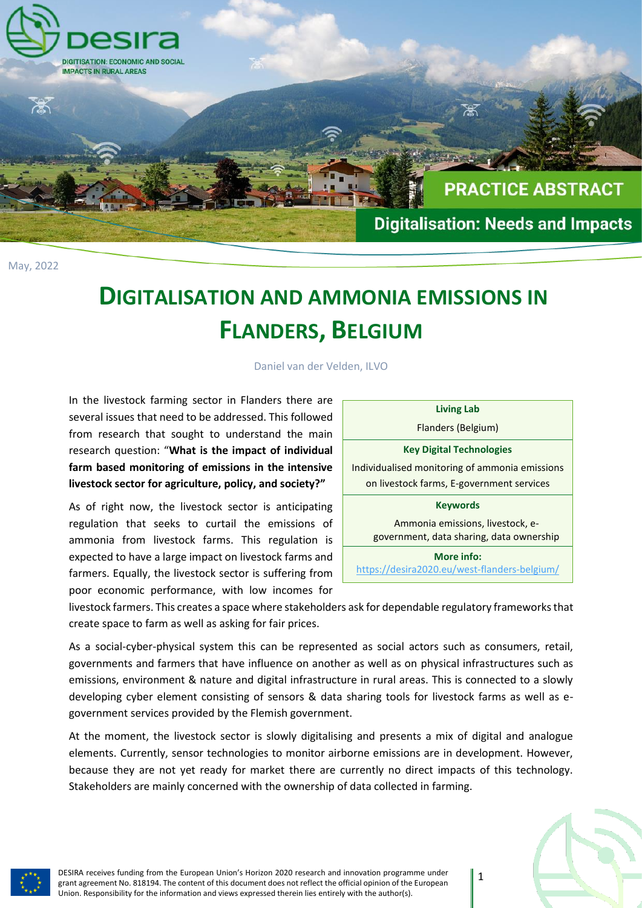

May, 2022

## **DIGITALISATION AND AMMONIA EMISSIONS IN FLANDERS, BELGIUM**

Daniel van der Velden, ILVO

In the livestock farming sector in Flanders there are several issues that need to be addressed. This followed from research that sought to understand the main research question: "**What is the impact of individual farm based monitoring of emissions in the intensive livestock sector for agriculture, policy, and society?"**

As of right now, the livestock sector is anticipating regulation that seeks to curtail the emissions of ammonia from livestock farms. This regulation is expected to have a large impact on livestock farms and farmers. Equally, the livestock sector is suffering from poor economic performance, with low incomes for

| <b>Living Lab</b>                              |
|------------------------------------------------|
| Flanders (Belgium)                             |
| <b>Key Digital Technologies</b>                |
| Individualised monitoring of ammonia emissions |
| on livestock farms, E-government services      |
| <b>Keywords</b>                                |
| Ammonia emissions, livestock, e-               |
| government, data sharing, data ownership       |
| More info:                                     |
| https://desira2020.eu/west-flanders-belgium/   |

livestock farmers. This creates a space where stakeholders ask for dependable regulatory frameworks that create space to farm as well as asking for fair prices.

As a social-cyber-physical system this can be represented as social actors such as consumers, retail, governments and farmers that have influence on another as well as on physical infrastructures such as emissions, environment & nature and digital infrastructure in rural areas. This is connected to a slowly developing cyber element consisting of sensors & data sharing tools for livestock farms as well as egovernment services provided by the Flemish government.

At the moment, the livestock sector is slowly digitalising and presents a mix of digital and analogue elements. Currently, sensor technologies to monitor airborne emissions are in development. However, because they are not yet ready for market there are currently no direct impacts of this technology. Stakeholders are mainly concerned with the ownership of data collected in farming.



DESIRA receives funding from the European Union's Horizon 2020 research and innovation programme under grant agreement No. 818194. The content of this document does not reflect the official opinion of the European Union. Responsibility for the information and views expressed therein lies entirely with the author(s).